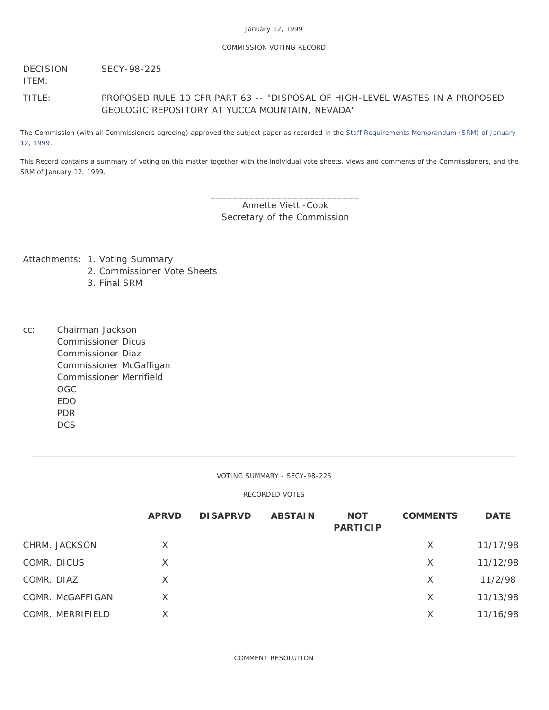# COMMISSION VOTING RECORD

DECISION SECY-98-225

ITEM:

TITLE: PROPOSED RULE:10 CFR PART 63 -- "DISPOSAL OF HIGH-LEVEL WASTES IN A PROPOSED GEOLOGIC REPOSITORY AT YUCCA MOUNTAIN, NEVADA"

The Commission (with all Commissioners agreeing) approved the subject paper as recorded in the [Staff Requirements Memorandum \(SRM\) of January](http://www.nrc.gov/reading-rm/doc-collections/commission/srm/1998/1998-225srm.html) [12, 1999.](http://www.nrc.gov/reading-rm/doc-collections/commission/srm/1998/1998-225srm.html)

This Record contains a summary of voting on this matter together with the individual vote sheets, views and comments of the Commissioners, and the SRM of January 12, 1999.

> \_\_\_\_\_\_\_\_\_\_\_\_\_\_\_\_\_\_\_\_\_\_\_\_\_\_\_ Annette Vietti-Cook Secretary of the Commission

Attachments: 1. Voting Summary

- 2. Commissioner Vote Sheets
- 3. Final SRM
- cc: Chairman Jackson Commissioner Dicus Commissioner Diaz Commissioner McGaffigan Commissioner Merrifield OGC EDO PDR **DCS**

VOTING SUMMARY - SECY-98-225

RECORDED VOTES

|                  | <b>APRVD</b> | <b>DISAPRVD</b> | <b>ABSTAIN</b> | <b>NOT</b><br><b>PARTICIP</b> | <b>COMMENTS</b> | <b>DATE</b> |
|------------------|--------------|-----------------|----------------|-------------------------------|-----------------|-------------|
| CHRM. JACKSON    | $\times$     |                 |                |                               | X               | 11/17/98    |
| COMR. DICUS      | X            |                 |                |                               | X               | 11/12/98    |
| COMR. DIAZ       | X            |                 |                |                               | X               | 11/2/98     |
| COMR. McGAFFIGAN | X            |                 |                |                               | X               | 11/13/98    |
| COMR. MERRIFIELD | X            |                 |                |                               | X               | 11/16/98    |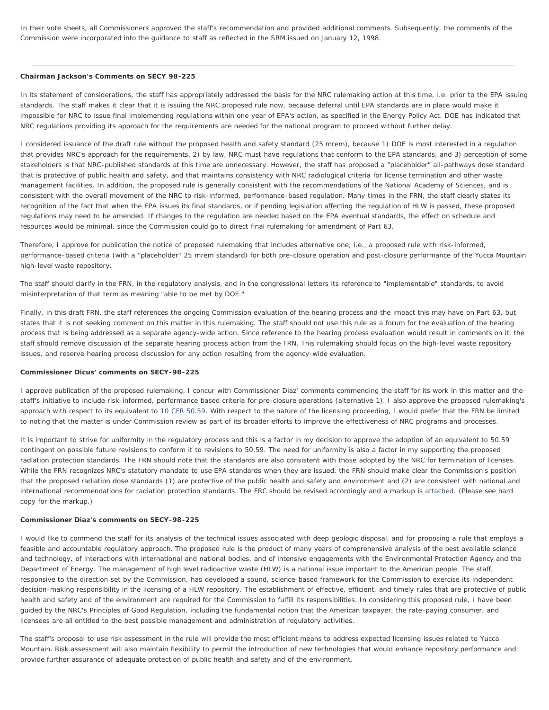In their vote sheets, all Commissioners approved the staff's recommendation and provided additional comments. Subsequently, the comments of the Commission were incorporated into the guidance to staff as reflected in the SRM issued on January 12, 1998.

# **Chairman Jackson's Comments on SECY 98-225**

In its statement of considerations, the staff has appropriately addressed the basis for the NRC rulemaking action at this time, i.e. prior to the EPA issuing standards. The staff makes it clear that it is issuing the NRC proposed rule now, because deferral until EPA standards are in place would make it impossible for NRC to issue final implementing regulations within one year of EPA's action, as specified in the Energy Policy Act. DOE has indicated that NRC regulations providing its approach for the requirements are needed for the national program to proceed without further delay.

I considered issuance of the draft rule without the proposed health and safety standard (25 mrem), because 1) DOE is most interested in a regulation that provides NRC's approach for the requirements, 2) by law, NRC must have regulations that conform to the EPA standards, and 3) perception of some stakeholders is that NRC-published standards at this time are unnecessary. However, the staff has proposed a "placeholder" all-pathways dose standard that is protective of public health and safety, and that maintains consistency with NRC radiological criteria for license termination and other waste management facilities. In addition, the proposed rule is generally consistent with the recommendations of the National Academy of Sciences, and is consistent with the overall movement of the NRC to risk-informed, performance-based regulation. Many times in the FRN, the staff clearly states its recognition of the fact that when the EPA issues its final standards, or if pending legislation affecting the regulation of HLW is passed, these proposed regulations may need to be amended. If changes to the regulation are needed based on the EPA eventual standards, the effect on schedule and resources would be minimal, since the Commission could go to direct final rulemaking for amendment of Part 63.

Therefore, I approve for publication the notice of proposed rulemaking that includes alternative one, i.e., a proposed rule with risk-informed, performance-based criteria (with a "placeholder" 25 mrem standard) for both pre-closure operation and post-closure performance of the Yucca Mountain high-level waste repository.

The staff should clarify in the FRN, in the regulatory analysis, and in the congressional letters its reference to "implementable" standards, to avoid misinterpretation of that term as meaning "able to be met by DOE."

Finally, in this draft FRN, the staff references the ongoing Commission evaluation of the hearing process and the impact this may have on Part 63, but states that it is not seeking comment on this matter in this rulemaking. The staff should not use this rule as a forum for the evaluation of the hearing process that is being addressed as a separate agency-wide action. Since reference to the hearing process evaluation would result in comments on it, the staff should remove discussion of the separate hearing process action from the FRN. This rulemaking should focus on the high-level waste repository issues, and reserve hearing process discussion for any action resulting from the agency-wide evaluation.

### **Commissioner Dicus' comments on SECY-98-225**

I approve publication of the proposed rulemaking, I concur with Commissioner Diaz' comments commending the staff for its work in this matter and the staff's initiative to include risk-informed, performance based criteria for pre-closure operations (alternative 1). I also approve the proposed rulemaking's approach with respect to its equivalent to [10 CFR 50.59](http://www.nrc.gov/reading-rm/doc-collections/cfr/part050/part050-0059.html). With respect to the nature of the licensing proceeding, I would prefer that the FRN be limited to noting that the matter is under Commission review as part of its broader efforts to improve the effectiveness of NRC programs and processes.

It is important to strive for uniformity in the regulatory process and this is a factor in my decision to approve the adoption of an equivalent to 50.59 contingent on possible future revisions to conform it to revisions to 50.59. The need for uniformity is also a factor in my supporting the proposed radiation protection standards. The FRN should note that the standards are also consistent with those adopted by the NRC for termination of licenses. While the FRN recognizes NRC's statutory mandate to use EPA standards when they are issued, the FRN should make clear the Commission's position that the proposed radiation dose standards (1) are protective of the public health and safety and environment and (2) are consistent with national and international recommendations for radiation protection standards. The FRC should be revised accordingly and a markup is [attached](#page-3-0). (Please see hard copy for the markup.)

#### **Commissioner Diaz's comments on SECY-98-225**

I would like to commend the staff for its analysis of the technical issues associated with deep geologic disposal, and for proposing a rule that employs a feasible and accountable regulatory approach. The proposed rule is the product of many years of comprehensive analysis of the best available science and technology, of interactions with international and national bodies, and of intensive engagements with the Environmental Protection Agency and the Department of Energy. The management of high level radioactive waste (HLW) is a national issue important to the American people. The staff, responsive to the direction set by the Commission, has developed a sound, science-based framework for the Commission to exercise its independent decision-making responsibility in the licensing of a HLW repository. The establishment of effective, efficient, and timely rules that are protective of public health and safety and of the environment are required for the Commission to fulfill its responsibilities. In considering this proposed rule, I have been guided by the NRC's Principles of Good Regulation, including the fundamental notion that the American taxpayer, the rate-paying consumer, and licensees are all entitled to the best possible management and administration of regulatory activities.

The staff's proposal to use risk assessment in the rule will provide the most efficient means to address expected licensing issues related to Yucca Mountain. Risk assessment will also maintain flexibility to permit the introduction of new technologies that would enhance repository performance and provide further assurance of adequate protection of public health and safety and of the environment.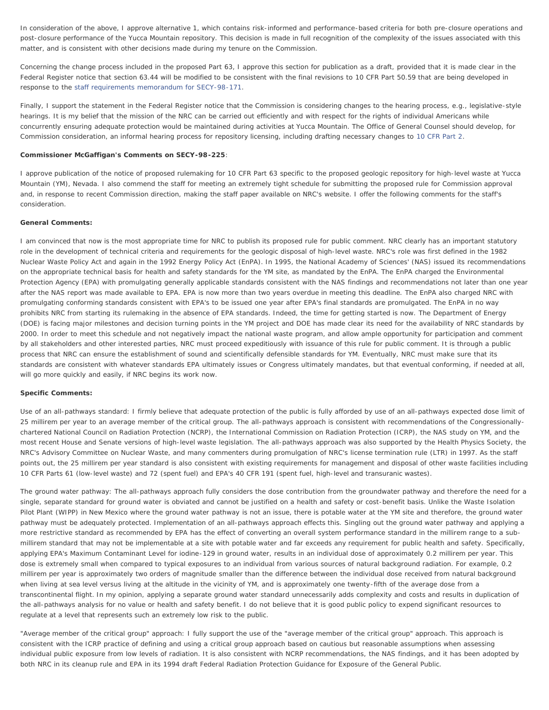In consideration of the above, I approve alternative 1, which contains risk-informed and performance-based criteria for both pre-closure operations and post-closure performance of the Yucca Mountain repository. This decision is made in full recognition of the complexity of the issues associated with this matter, and is consistent with other decisions made during my tenure on the Commission.

Concerning the change process included in the proposed Part 63, I approve this section for publication as a draft, provided that it is made clear in the Federal Register notice that section 63.44 will be modified to be consistent with the final revisions to 10 CFR Part 50.59 that are being developed in response to the [staff requirements memorandum for SECY-98-171.](http://www.nrc.gov/reading-rm/doc-collections/commission/srm/1998/1998-171srm.html)

Finally, I support the statement in the Federal Register notice that the Commission is considering changes to the hearing process, e.g., legislative-style hearings. It is my belief that the mission of the NRC can be carried out efficiently and with respect for the rights of individual Americans while concurrently ensuring adequate protection would be maintained during activities at Yucca Mountain. The Office of General Counsel should develop, for Commission consideration, an informal hearing process for repository licensing, including drafting necessary changes to [10 CFR Part 2](http://www.nrc.gov/reading-rm/doc-collections/cfr/part002/).

### **Commissioner McGaffigan's Comments on SECY-98-225**:

I approve publication of the notice of proposed rulemaking for 10 CFR Part 63 specific to the proposed geologic repository for high-level waste at Yucca Mountain (YM), Nevada. I also commend the staff for meeting an extremely tight schedule for submitting the proposed rule for Commission approval and, in response to recent Commission direction, making the staff paper available on NRC's website. I offer the following comments for the staff's consideration.

### **General Comments:**

I am convinced that now is the most appropriate time for NRC to publish its proposed rule for public comment. NRC clearly has an important statutory role in the development of technical criteria and requirements for the geologic disposal of high-level waste. NRC's role was first defined in the 1982 Nuclear Waste Policy Act and again in the 1992 Energy Policy Act (EnPA). In 1995, the National Academy of Sciences' (NAS) issued its recommendations on the appropriate technical basis for health and safety standards for the YM site, as mandated by the EnPA. The EnPA charged the Environmental Protection Agency (EPA) with promulgating generally applicable standards consistent with the NAS findings and recommendations not later than one year after the NAS report was made available to EPA. EPA is now more than two years overdue in meeting this deadline. The EnPA also charged NRC with promulgating conforming standards consistent with EPA's to be issued one year after EPA's final standards are promulgated. The EnPA in no way prohibits NRC from starting its rulemaking in the absence of EPA standards. Indeed, the time for getting started is now. The Department of Energy (DOE) is facing major milestones and decision turning points in the YM project and DOE has made clear its need for the availability of NRC standards by 2000. In order to meet this schedule and not negatively impact the national waste program, and allow ample opportunity for participation and comment by all stakeholders and other interested parties, NRC must proceed expeditiously with issuance of this rule for public comment. It is through a public process that NRC can ensure the establishment of sound and scientifically defensible standards for YM. Eventually, NRC must make sure that its standards are consistent with whatever standards EPA ultimately issues or Congress ultimately mandates, but that eventual conforming, if needed at all, will go more quickly and easily, if NRC begins its work now.

## **Specific Comments:**

*Use of an all-pathways standard:* I firmly believe that adequate protection of the public is fully afforded by use of an all-pathways expected dose limit of 25 millirem per year to an average member of the critical group. The all-pathways approach is consistent with recommendations of the Congressionallychartered National Council on Radiation Protection (NCRP), the International Commission on Radiation Protection (ICRP), the NAS study on YM, and the most recent House and Senate versions of high-level waste legislation. The all-pathways approach was also supported by the Health Physics Society, the NRC's Advisory Committee on Nuclear Waste, and many commenters during promulgation of NRC's license termination rule (LTR) in 1997. As the staff points out, the 25 millirem per year standard is also consistent with existing requirements for management and disposal of other waste facilities including 10 CFR Parts 61 (low-level waste) and 72 (spent fuel) and EPA's 40 CFR 191 (spent fuel, high-level and transuranic wastes).

*The ground water pathway:* The all-pathways approach fully considers the dose contribution from the groundwater pathway and therefore the need for a single, separate standard for ground water is obviated and cannot be justified on a health and safety or cost-benefit basis. Unlike the Waste Isolation Pilot Plant (WIPP) in New Mexico where the ground water pathway is not an issue, there is potable water at the YM site and therefore, the ground water pathway must be adequately protected. Implementation of an all-pathways approach effects this. Singling out the ground water pathway and applying a more restrictive standard as recommended by EPA has the effect of converting an overall system performance standard in the millirem range to a submillirem standard that may not be implementable at a site with potable water and far exceeds any requirement for public health and safety. Specifically, applying EPA's Maximum Contaminant Level for iodine-129 in ground water, results in an individual dose of approximately 0.2 millirem per year. This dose is extremely small when compared to typical exposures to an individual from various sources of natural background radiation. For example, 0.2 millirem per year is approximately two orders of magnitude smaller than the difference between the individual dose received from natural background when living at sea level versus living at the altitude in the vicinity of YM, and is approximately one twenty-fifth of the average dose from a transcontinental flight. In my opinion, applying a separate ground water standard unnecessarily adds complexity and costs and results in duplication of the all-pathways analysis for no value or health and safety benefit. I do not believe that it is good public policy to expend significant resources to regulate at a level that represents such an extremely low risk to the public.

*"Average member of the critical group" approach:* I fully support the use of the "average member of the critical group" approach. This approach is consistent with the ICRP practice of defining and using a critical group approach based on cautious but reasonable assumptions when assessing individual public exposure from low levels of radiation. It is also consistent with NCRP recommendations, the NAS findings, and it has been adopted by both NRC in its cleanup rule and EPA in its 1994 draft Federal Radiation Protection Guidance for Exposure of the General Public.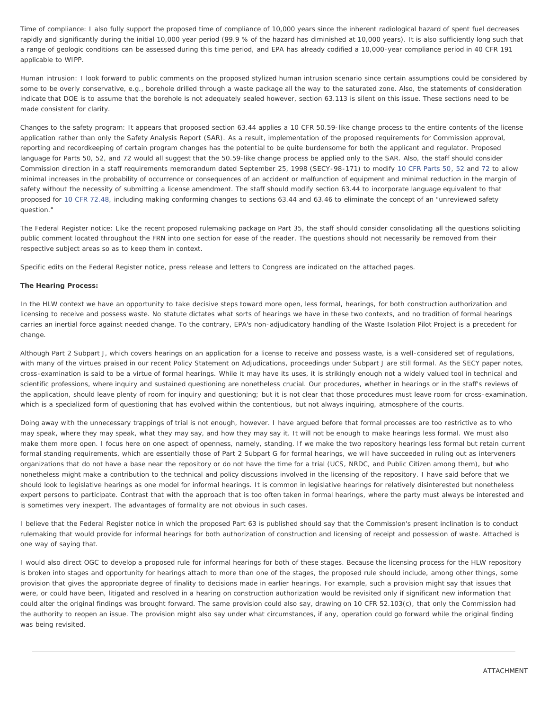*Time of compliance:* I also fully support the proposed time of compliance of 10,000 years since the inherent radiological hazard of spent fuel decreases rapidly and significantly during the initial 10,000 year period (99.9 % of the hazard has diminished at 10,000 years). It is also sufficiently long such that a range of geologic conditions can be assessed during this time period, and EPA has already codified a 10,000-year compliance period in 40 CFR 191 applicable to WIPP.

*Human intrusion*: I look forward to public comments on the proposed stylized human intrusion scenario since certain assumptions could be considered by some to be overly conservative, e.g., borehole drilled through a waste package all the way to the saturated zone. Also, the statements of consideration indicate that DOE is to assume that the borehole is not adequately sealed however, section 63.113 is silent on this issue. These sections need to be made consistent for clarity.

*Changes to the safety program:* It appears that proposed section 63.44 applies a 10 CFR 50.59-like change process to the entire contents of the license application rather than only the Safety Analysis Report (SAR). As a result, implementation of the proposed requirements for Commission approval, reporting and recordkeeping of certain program changes has the potential to be quite burdensome for both the applicant and regulator. Proposed language for Parts 50, 52, and 72 would all suggest that the 50.59-like change process be applied only to the SAR. Also, the staff should consider Commission direction in a staff requirements memorandum dated September 25, 1998 (SECY-98-171) to modify [10 CFR Parts 50,](http://www.nrc.gov/reading-rm/doc-collections/cfr/part050/) [52](http://www.nrc.gov/reading-rm/doc-collections/cfr/part052/) and [72](http://www.nrc.gov/reading-rm/doc-collections/cfr/part072/) to allow minimal increases in the probability of occurrence or consequences of an accident or malfunction of equipment and minimal reduction in the margin of safety without the necessity of submitting a license amendment. The staff should modify section 63.44 to incorporate language equivalent to that proposed for [10 CFR 72.48,](http://www.nrc.gov/reading-rm/doc-collections/cfr/part072/part072-0048.html) including making conforming changes to sections 63.44 and 63.46 to eliminate the concept of an "unreviewed safety question."

*The Federal Register notice:* Like the recent proposed rulemaking package on Part 35, the staff should consider consolidating all the questions soliciting public comment located throughout the FRN into one section for ease of the reader. The questions should not necessarily be removed from their respective subject areas so as to keep them in context.

Specific edits on the Federal Register notice, press release and letters to Congress are indicated on the attached pages.

# **The Hearing Process:**

In the HLW context we have an opportunity to take decisive steps toward more open, less formal, hearings, for both construction authorization and licensing to receive and possess waste. No statute dictates what sorts of hearings we have in these two contexts, and no tradition of formal hearings carries an inertial force against needed change. To the contrary, EPA's non-adjudicatory handling of the Waste Isolation Pilot Project is a precedent for change.

Although Part 2 Subpart J, which covers hearings on an application for a license to receive and possess waste, is a well-considered set of regulations, with many of the virtues praised in our recent Policy Statement on Adjudications, proceedings under Subpart J are still formal. As the SECY paper notes, cross-examination is said to be a virtue of formal hearings. While it may have its uses, it is strikingly enough not a widely valued tool in technical and scientific professions, where inquiry and sustained questioning are nonetheless crucial. Our procedures, whether in hearings or in the staff's reviews of the application, should leave plenty of room for inquiry and questioning; but it is not clear that those procedures must leave room for cross-examination, which is a specialized form of questioning that has evolved within the contentious, but not always inquiring, atmosphere of the courts.

Doing away with the unnecessary trappings of trial is not enough, however. I have argued before that formal processes are too restrictive as to who may speak, where they may speak, what they may say, and how they may say it. It will not be enough to make hearings less formal. We must also make them more open. I focus here on one aspect of openness, namely, standing. If we make the two repository hearings less formal but retain current formal standing requirements, which are essentially those of Part 2 Subpart G for formal hearings, we will have succeeded in ruling out as interveners organizations that do not have a base near the repository or do not have the time for a trial (UCS, NRDC, and Public Citizen among them), but who nonetheless might make a contribution to the technical and policy discussions involved in the licensing of the repository. I have said before that we should look to legislative hearings as one model for informal hearings. It is common in legislative hearings for relatively disinterested but nonetheless expert persons to participate. Contrast that with the approach that is too often taken in formal hearings, where the party must always be interested and is sometimes very inexpert. The advantages of formality are not obvious in such cases.

I believe that the Federal Register notice in which the proposed Part 63 is published should say that the Commission's present inclination is to conduct rulemaking that would provide for informal hearings for both authorization of construction and licensing of receipt and possession of waste. Attached is one way of saying that.

<span id="page-3-0"></span>I would also direct OGC to develop a proposed rule for informal hearings for both of these stages. Because the licensing process for the HLW repository is broken into stages and opportunity for hearings attach to more than one of the stages, the proposed rule should include, among other things, some provision that gives the appropriate degree of finality to decisions made in earlier hearings. For example, such a provision might say that issues that were, or could have been, litigated and resolved in a hearing on construction authorization would be revisited only if significant new information that could alter the original findings was brought forward. The same provision could also say, drawing on 10 CFR 52.103(c), that only the Commission had the authority to reopen an issue. The provision might also say under what circumstances, if any, operation could go forward while the original finding was being revisited.